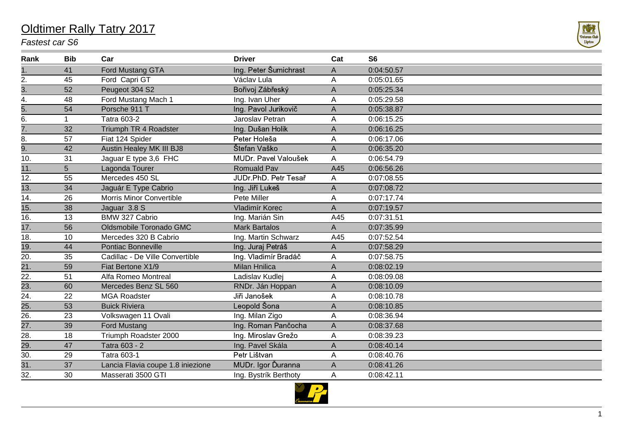## Oldtimer Rally Tatry 2017

## *Fastest car S6*



| Rank              | <b>Bib</b>  | Car                               | <b>Driver</b>         | Cat                       | S <sub>6</sub> |
|-------------------|-------------|-----------------------------------|-----------------------|---------------------------|----------------|
| 1.                | 41          | Ford Mustang GTA                  | Ing. Peter Šumichrast | A                         | 0:04:50.57     |
| 2.                | 45          | Ford Capri GT                     | Václav Lula           | A                         | 0:05:01.65     |
| $\overline{3}$ .  | 52          | Peugeot 304 S2                    | Bořivoj Zábřeský      | $\mathsf A$               | 0:05:25.34     |
| 4.                | 48          | Ford Mustang Mach 1               | Ing. Ivan Uher        | A                         | 0:05:29.58     |
| 5.                | 54          | Porsche 911 T                     | Ing. Pavol Jurikovič  | $\mathsf A$               | 0:05:38.87     |
| 6.                | $\mathbf 1$ | <b>Tatra 603-2</b>                | Jaroslav Petran       | A                         | 0:06:15.25     |
| 7.                | 32          | Triumph TR 4 Roadster             | Ing. Dušan Holik      | A                         | 0:06:16.25     |
| 8.                | 57          | Fiat 124 Spider                   | Peter Holeša          | A                         | 0:06:17.06     |
| 9.                | 42          | Austin Healey MK III BJ8          | Štefan Vaško          | A                         | 0:06:35.20     |
| 10.               | 31          | Jaguar E type 3,6 FHC             | MUDr. Pavel Valoušek  | A                         | 0:06:54.79     |
| 11.               | 5           | Lagonda Tourer                    | Romuald Pav           | A45                       | 0:06:56.26     |
| 12.               | 55          | Mercedes 450 SL                   | JUDr.PhD. Petr Tesař  | A                         | 0:07:08.55     |
| $\overline{13}$ . | 34          | Jaguár E Type Cabrio              | Ing. Jiří Lukeš       | $\mathsf A$               | 0:07:08.72     |
| 14.               | 26          | Morris Minor Convertible          | Pete Miller           | Α                         | 0:07:17.74     |
| $\overline{15}$ . | 38          | Jaguar 3.8 S                      | Vladimír Korec        | A                         | 0:07:19.57     |
| 16.               | 13          | BMW 327 Cabrio                    | Ing. Marián Sin       | A45                       | 0:07:31.51     |
| $\overline{17}$ . | 56          | Oldsmobile Toronado GMC           | <b>Mark Bartalos</b>  | A                         | 0:07:35.99     |
| 18.               | 10          | Mercedes 320 B Cabrio             | Ing. Martin Schwarz   | A45                       | 0:07:52.54     |
| $\overline{19}$ . | 44          | <b>Pontiac Bonneville</b>         | Ing. Juraj Petráš     | A                         | 0:07:58.29     |
| 20.               | 35          | Cadillac - De Ville Convertible   | Ing. Vladimír Bradáč  | $\boldsymbol{\mathsf{A}}$ | 0:07:58.75     |
| 21.               | 59          | Fiat Bertone X1/9                 | <b>Milan Hnilica</b>  | A                         | 0:08:02.19     |
| 22.               | 51          | Alfa Romeo Montreal               | Ladislav Kudlej       | A                         | 0:08:09.08     |
| 23.               | 60          | Mercedes Benz SL 560              | RNDr. Ján Hoppan      | A                         | 0:08:10.09     |
| 24.               | 22          | <b>MGA Roadster</b>               | Jiři Janošek          | A                         | 0:08:10.78     |
| 25.               | 53          | <b>Buick Riviera</b>              | Leopold Šona          | A                         | 0:08:10.85     |
| 26.               | 23          | Volkswagen 11 Ovali               | Ing. Milan Zigo       | A                         | 0:08:36.94     |
| 27.               | 39          | <b>Ford Mustang</b>               | Ing. Roman Pančocha   | A                         | 0:08:37.68     |
| 28.               | 18          | Triumph Roadster 2000             | Ing. Miroslav Grežo   | A                         | 0:08:39.23     |
| 29.               | 47          | Tatra 603 - 2                     | Ing. Pavel Skála      | A                         | 0:08:40.14     |
| 30.               | 29          | Tatra 603-1                       | Petr Lištvan          | A                         | 0:08:40.76     |
| 31.               | 37          | Lancia Flavia coupe 1.8 iniezione | MUDr. Igor Ďuranna    | A                         | 0:08:41.26     |
| 32.               | 30          | Masserati 3500 GTI                | Ing. Bystrík Berthoty | A                         | 0:08:42.11     |